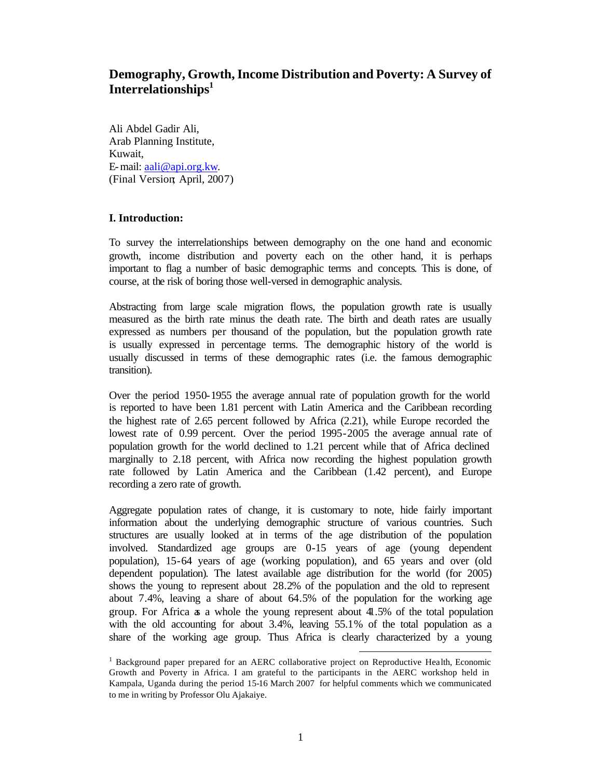# **Demography, Growth, Income Distribution and Poverty: A Survey of Interrelationships<sup>1</sup>**

Ali Abdel Gadir Ali, Arab Planning Institute, Kuwait, E-mail: aali@api.org.kw. (Final Version; April, 2007)

# **I. Introduction:**

To survey the interrelationships between demography on the one hand and economic growth, income distribution and poverty each on the other hand, it is perhaps important to flag a number of basic demographic terms and concepts. This is done, of course, at the risk of boring those well-versed in demographic analysis.

Abstracting from large scale migration flows, the population growth rate is usually measured as the birth rate minus the death rate. The birth and death rates are usually expressed as numbers per thousand of the population, but the population growth rate is usually expressed in percentage terms. The demographic history of the world is usually discussed in terms of these demographic rates (i.e. the famous demographic transition).

Over the period 1950-1955 the average annual rate of population growth for the world is reported to have been 1.81 percent with Latin America and the Caribbean recording the highest rate of 2.65 percent followed by Africa (2.21), while Europe recorded the lowest rate of 0.99 percent. Over the period 1995-2005 the average annual rate of population growth for the world declined to 1.21 percent while that of Africa declined marginally to 2.18 percent, with Africa now recording the highest population growth rate followed by Latin America and the Caribbean (1.42 percent), and Europe recording a zero rate of growth.

Aggregate population rates of change, it is customary to note, hide fairly important information about the underlying demographic structure of various countries. Such structures are usually looked at in terms of the age distribution of the population involved. Standardized age groups are 0-15 years of age (young dependent population), 15-64 years of age (working population), and 65 years and over (old dependent population). The latest available age distribution for the world (for 2005) shows the young to represent about 28.2% of the population and the old to represent about 7.4%, leaving a share of about 64.5% of the population for the working age group. For Africa as a whole the young represent about 41.5% of the total population with the old accounting for about 3.4%, leaving 55.1% of the total population as a share of the working age group. Thus Africa is clearly characterized by a young

<sup>&</sup>lt;sup>1</sup> Background paper prepared for an AERC collaborative project on Reproductive Health, Economic Growth and Poverty in Africa. I am grateful to the participants in the AERC workshop held in Kampala, Uganda during the period 15-16 March 2007 for helpful comments which we communicated to me in writing by Professor Olu Ajakaiye.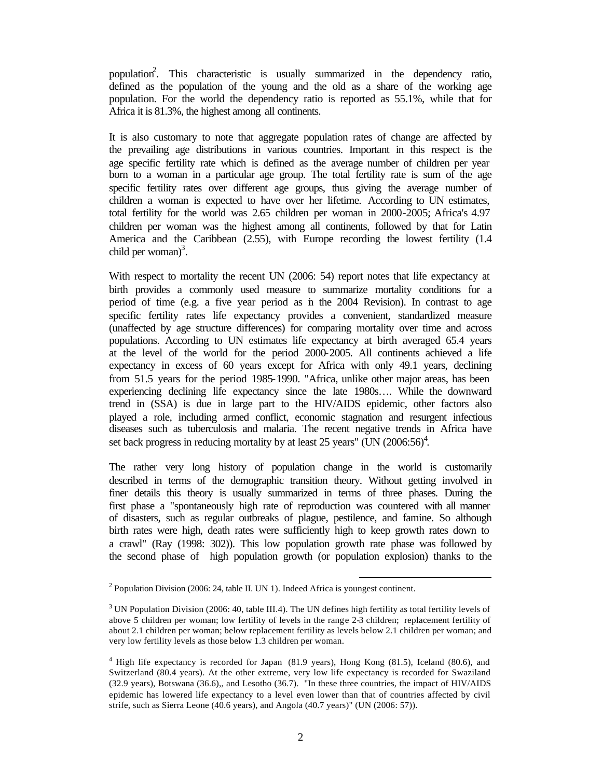population<sup>2</sup>. This characteristic is usually summarized in the dependency ratio, defined as the population of the young and the old as a share of the working age population. For the world the dependency ratio is reported as 55.1%, while that for Africa it is 81.3%, the highest among all continents.

It is also customary to note that aggregate population rates of change are affected by the prevailing age distributions in various countries. Important in this respect is the age specific fertility rate which is defined as the average number of children per year born to a woman in a particular age group. The total fertility rate is sum of the age specific fertility rates over different age groups, thus giving the average number of children a woman is expected to have over her lifetime. According to UN estimates, total fertility for the world was 2.65 children per woman in 2000-2005; Africa's 4.97 children per woman was the highest among all continents, followed by that for Latin America and the Caribbean (2.55), with Europe recording the lowest fertility (1.4 child per woman $)^3$ .

With respect to mortality the recent UN (2006: 54) report notes that life expectancy at birth provides a commonly used measure to summarize mortality conditions for a period of time (e.g. a five year period as in the 2004 Revision). In contrast to age specific fertility rates life expectancy provides a convenient, standardized measure (unaffected by age structure differences) for comparing mortality over time and across populations. According to UN estimates life expectancy at birth averaged 65.4 years at the level of the world for the period 2000-2005. All continents achieved a life expectancy in excess of 60 years except for Africa with only 49.1 years, declining from 51.5 years for the period 1985-1990. "Africa, unlike other major areas, has been experiencing declining life expectancy since the late 1980s…. While the downward trend in (SSA) is due in large part to the HIV/AIDS epidemic, other factors also played a role, including armed conflict, economic stagnation and resurgent infectious diseases such as tuberculosis and malaria. The recent negative trends in Africa have set back progress in reducing mortality by at least 25 years" (UN  $(2006:56)^4$ .

The rather very long history of population change in the world is customarily described in terms of the demographic transition theory. Without getting involved in finer details this theory is usually summarized in terms of three phases. During the first phase a "spontaneously high rate of reproduction was countered with all manner of disasters, such as regular outbreaks of plague, pestilence, and famine. So although birth rates were high, death rates were sufficiently high to keep growth rates down to a crawl" (Ray (1998: 302)). This low population growth rate phase was followed by the second phase of high population growth (or population explosion) thanks to the

<sup>&</sup>lt;sup>2</sup> Population Division (2006: 24, table II. UN 1). Indeed Africa is youngest continent.

<sup>&</sup>lt;sup>3</sup> UN Population Division (2006: 40, table III.4). The UN defines high fertility as total fertility levels of above 5 children per woman; low fertility of levels in the range 2-3 children; replacement fertility of about 2.1 children per woman; below replacement fertility as levels below 2.1 children per woman; and very low fertility levels as those below 1.3 children per woman.

<sup>4</sup> High life expectancy is recorded for Japan (81.9 years), Hong Kong (81.5), Iceland (80.6), and Switzerland (80.4 years). At the other extreme, very low life expectancy is recorded for Swaziland (32.9 years), Botswana (36.6),, and Lesotho (36.7). "In these three countries, the impact of HIV/AIDS epidemic has lowered life expectancy to a level even lower than that of countries affected by civil strife, such as Sierra Leone (40.6 years), and Angola (40.7 years)" (UN (2006: 57)).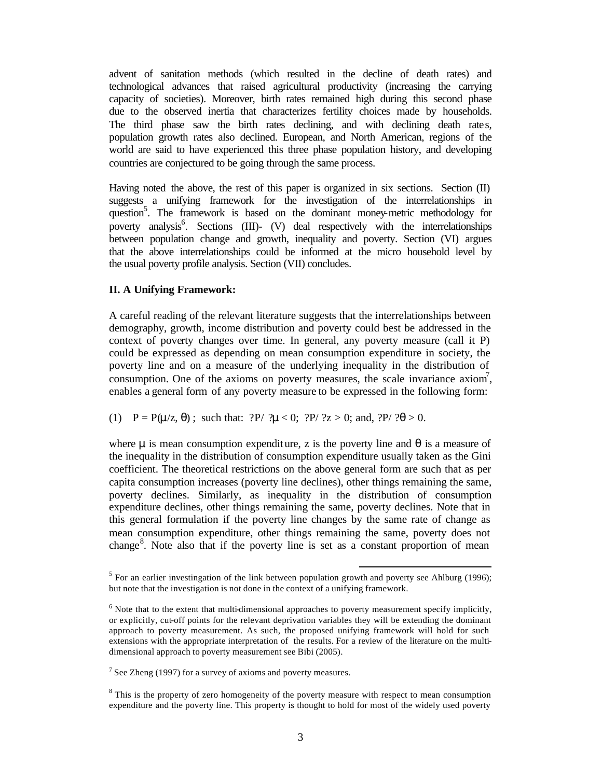advent of sanitation methods (which resulted in the decline of death rates) and technological advances that raised agricultural productivity (increasing the carrying capacity of societies). Moreover, birth rates remained high during this second phase due to the observed inertia that characterizes fertility choices made by households. The third phase saw the birth rates declining, and with declining death rates, population growth rates also declined. European, and North American, regions of the world are said to have experienced this three phase population history, and developing countries are conjectured to be going through the same process.

Having noted the above, the rest of this paper is organized in six sections. Section (II) suggests a unifying framework for the investigation of the interrelationships in question<sup>5</sup>. The framework is based on the dominant money-metric methodology for poverty analysis<sup>6</sup>. Sections  $(III)$ -  $(V)$  deal respectively with the interrelationships between population change and growth, inequality and poverty. Section (VI) argues that the above interrelationships could be informed at the micro household level by the usual poverty profile analysis. Section (VII) concludes.

### **II. A Unifying Framework:**

A careful reading of the relevant literature suggests that the interrelationships between demography, growth, income distribution and poverty could best be addressed in the context of poverty changes over time. In general, any poverty measure (call it P) could be expressed as depending on mean consumption expenditure in society, the poverty line and on a measure of the underlying inequality in the distribution of consumption. One of the axioms on poverty measures, the scale invariance  $axiom<sup>7</sup>$ , enables a general form of any poverty measure to be expressed in the following form:

### (1)  $P = P(\mu/z, \theta)$ ; such that:  $?P / ?\mu < 0$ ;  $?P / ?z > 0$ ; and,  $?P / ?\theta > 0$ .

where  $\mu$  is mean consumption expenditure, z is the poverty line and  $\theta$  is a measure of the inequality in the distribution of consumption expenditure usually taken as the Gini coefficient. The theoretical restrictions on the above general form are such that as per capita consumption increases (poverty line declines), other things remaining the same, poverty declines. Similarly, as inequality in the distribution of consumption expenditure declines, other things remaining the same, poverty declines. Note that in this general formulation if the poverty line changes by the same rate of change as mean consumption expenditure, other things remaining the same, poverty does not change<sup>8</sup>. Note also that if the poverty line is set as a constant proportion of mean

<sup>&</sup>lt;sup>5</sup> For an earlier investingation of the link between population growth and poverty see Ahlburg (1996); but note that the investigation is not done in the context of a unifying framework.

<sup>&</sup>lt;sup>6</sup> Note that to the extent that multi-dimensional approaches to poverty measurement specify implicitly, or explicitly, cut-off points for the relevant deprivation variables they will be extending the dominant approach to poverty measurement. As such, the proposed unifying framework will hold for such extensions with the appropriate interpretation of the results. For a review of the literature on the multidimensional approach to poverty measurement see Bibi (2005).

<sup>&</sup>lt;sup>7</sup> See Zheng (1997) for a survey of axioms and poverty measures.

 $8$  This is the property of zero homogeneity of the poverty measure with respect to mean consumption expenditure and the poverty line. This property is thought to hold for most of the widely used poverty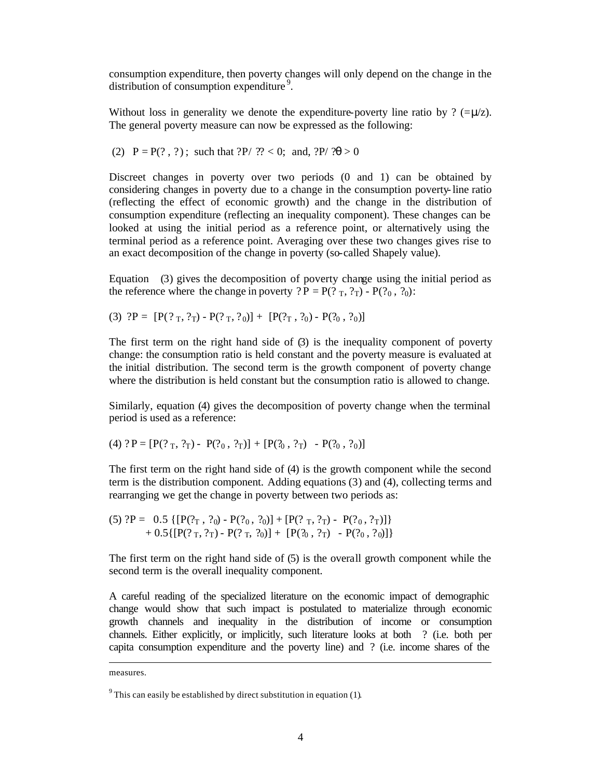consumption expenditure, then poverty changes will only depend on the change in the distribution of consumption expenditure<sup>9</sup>.

Without loss in generality we denote the expenditure-poverty line ratio by ? (= $\mu$ /z). The general poverty measure can now be expressed as the following:

(2)  $P = P(?, ?)$ ; such that  $?P/ ?? < 0$ ; and,  $?P/ ?\theta > 0$ 

Discreet changes in poverty over two periods (0 and 1) can be obtained by considering changes in poverty due to a change in the consumption poverty-line ratio (reflecting the effect of economic growth) and the change in the distribution of consumption expenditure (reflecting an inequality component). These changes can be looked at using the initial period as a reference point, or alternatively using the terminal period as a reference point. Averaging over these two changes gives rise to an exact decomposition of the change in poverty (so-called Shapely value).

Equation (3) gives the decomposition of poverty change using the initial period as the reference where the change in poverty ?  $P = P(?T, ?T) - P(?0, ?0)$ :

(3)  $?P = [P(?_{T}, ?_{T}) - P(?_{T}, ?_{0})] + [P(?_{T}, ?_{0}) - P(?_{0}, ?_{0})]$ 

The first term on the right hand side of (3) is the inequality component of poverty change: the consumption ratio is held constant and the poverty measure is evaluated at the initial distribution. The second term is the growth component of poverty change where the distribution is held constant but the consumption ratio is allowed to change.

Similarly, equation (4) gives the decomposition of poverty change when the terminal period is used as a reference:

(4) ? P =  $[P(?_{T}, ?_{T}) - P(?_{0}, ?_{T})] + [P(?_{0}, ?_{T}) - P(?_{0}, ?_{0})]$ 

The first term on the right hand side of (4) is the growth component while the second term is the distribution component. Adding equations (3) and (4), collecting terms and rearranging we get the change in poverty between two periods as:

$$
(5) ?P = 0.5 \{ [P(?_{T}, ?_{0}) - P(?_{0}, ?_{0})] + [P(?_{T}, ?_{T}) - P(?_{0}, ?_{T})] \} + 0.5 \{ [P(?_{T}, ?_{T}) - P(?_{T}, ?_{0})] + [P(?_{0}, ?_{T}) - P(?_{0}, ?_{0})] \}
$$

The first term on the right hand side of (5) is the overall growth component while the second term is the overall inequality component.

A careful reading of the specialized literature on the economic impact of demographic change would show that such impact is postulated to materialize through economic growth channels and inequality in the distribution of income or consumption channels. Either explicitly, or implicitly, such literature looks at both ? (i.e. both per capita consumption expenditure and the poverty line) and ? (i.e. income shares of the

measures.

<sup>&</sup>lt;sup>9</sup> This can easily be established by direct substitution in equation (1).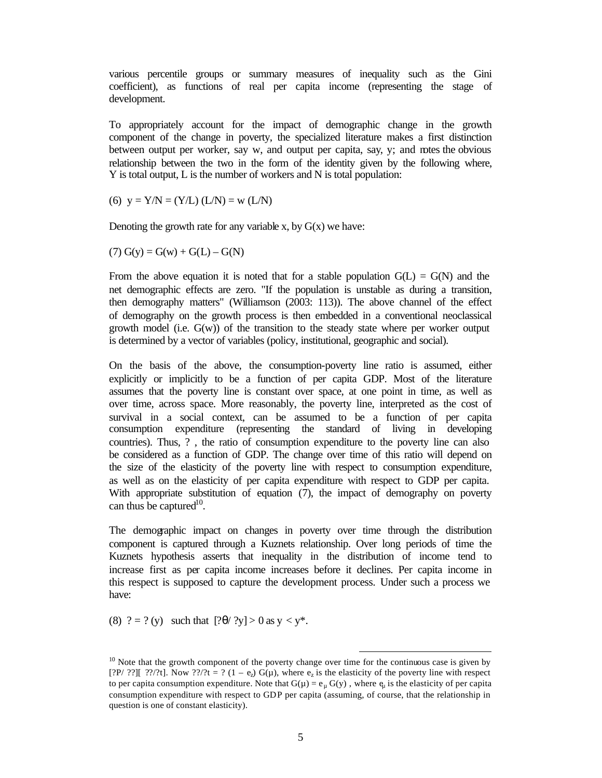various percentile groups or summary measures of inequality such as the Gini coefficient), as functions of real per capita income (representing the stage of development.

To appropriately account for the impact of demographic change in the growth component of the change in poverty, the specialized literature makes a first distinction between output per worker, say w, and output per capita, say, y; and notes the obvious relationship between the two in the form of the identity given by the following where, Y is total output, L is the number of workers and N is total population:

(6)  $y = Y/N = (Y/L) (LN) = w (LN)$ 

Denoting the growth rate for any variable x, by  $G(x)$  we have:

 $(7) G(y) = G(w) + G(L) - G(N)$ 

From the above equation it is noted that for a stable population  $G(L) = G(N)$  and the net demographic effects are zero. "If the population is unstable as during a transition, then demography matters" (Williamson (2003: 113)). The above channel of the effect of demography on the growth process is then embedded in a conventional neoclassical growth model (i.e.  $G(w)$ ) of the transition to the steady state where per worker output is determined by a vector of variables (policy, institutional, geographic and social).

On the basis of the above, the consumption-poverty line ratio is assumed, either explicitly or implicitly to be a function of per capita GDP. Most of the literature assumes that the poverty line is constant over space, at one point in time, as well as over time, across space. More reasonably, the poverty line, interpreted as the cost of survival in a social context, can be assumed to be a function of per capita consumption expenditure (representing the standard of living in developing countries). Thus, ? , the ratio of consumption expenditure to the poverty line can also be considered as a function of GDP. The change over time of this ratio will depend on the size of the elasticity of the poverty line with respect to consumption expenditure, as well as on the elasticity of per capita expenditure with respect to GDP per capita. With appropriate substitution of equation (7), the impact of demography on poverty can thus be captured<sup>10</sup>.

The demographic impact on changes in poverty over time through the distribution component is captured through a Kuznets relationship. Over long periods of time the Kuznets hypothesis asserts that inequality in the distribution of income tend to increase first as per capita income increases before it declines. Per capita income in this respect is supposed to capture the development process. Under such a process we have:

(8)  $? = ?$  (y) such that  $[? \theta / ?y] > 0$  as  $y < y^*$ .

<sup>&</sup>lt;sup>10</sup> Note that the growth component of the poverty change over time for the continuous case is given by [?P/ ??][ ??/?t]. Now ??/?t = ?  $(1 - e_2) G(\mu)$ , where  $e_2$  is the elasticity of the poverty line with respect to per capita consumption expenditure. Note that  $G(\mu) = e_{\mu} G(y)$ , where  $e_{\mu}$  is the elasticity of per capita consumption expenditure with respect to GDP per capita (assuming, of course, that the relationship in question is one of constant elasticity).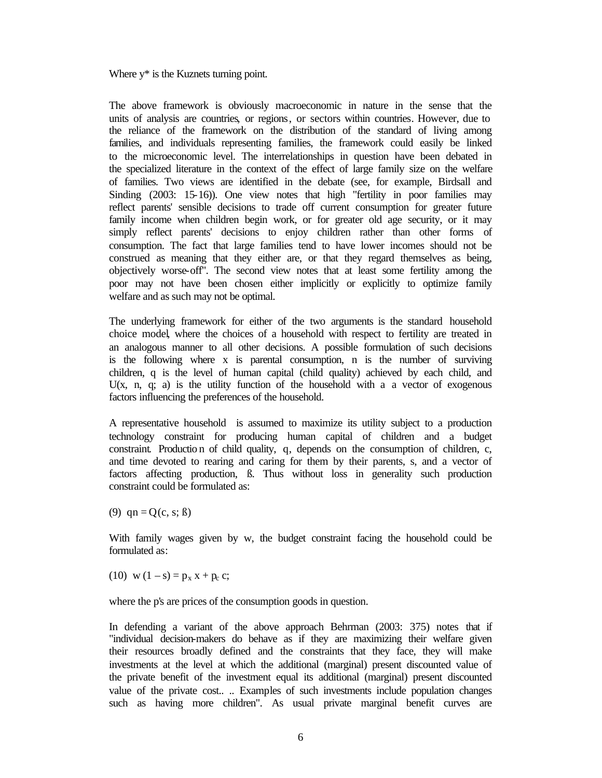Where  $y^*$  is the Kuznets turning point.

The above framework is obviously macroeconomic in nature in the sense that the units of analysis are countries, or regions, or sectors within countries. However, due to the reliance of the framework on the distribution of the standard of living among families, and individuals representing families, the framework could easily be linked to the microeconomic level. The interrelationships in question have been debated in the specialized literature in the context of the effect of large family size on the welfare of families. Two views are identified in the debate (see, for example, Birdsall and Sinding (2003: 15-16)). One view notes that high "fertility in poor families may reflect parents' sensible decisions to trade off current consumption for greater future family income when children begin work, or for greater old age security, or it may simply reflect parents' decisions to enjoy children rather than other forms of consumption. The fact that large families tend to have lower incomes should not be construed as meaning that they either are, or that they regard themselves as being, objectively worse-off". The second view notes that at least some fertility among the poor may not have been chosen either implicitly or explicitly to optimize family welfare and as such may not be optimal.

The underlying framework for either of the two arguments is the standard household choice model, where the choices of a household with respect to fertility are treated in an analogous manner to all other decisions. A possible formulation of such decisions is the following where x is parental consumption, n is the number of surviving children, q is the level of human capital (child quality) achieved by each child, and U(x, n, q; a) is the utility function of the household with a a vector of exogenous factors influencing the preferences of the household.

A representative household is assumed to maximize its utility subject to a production technology constraint for producing human capital of children and a budget constraint. Productio n of child quality, q, depends on the consumption of children, c, and time devoted to rearing and caring for them by their parents, s, and a vector of factors affecting production, ß. Thus without loss in generality such production constraint could be formulated as:

(9)  $qn = Q(c, s; \beta)$ 

With family wages given by w, the budget constraint facing the household could be formulated as:

(10) w  $(1 - s) = p_x x + p_c c$ ;

where the p's are prices of the consumption goods in question.

In defending a variant of the above approach Behrman (2003: 375) notes that if "individual decision-makers do behave as if they are maximizing their welfare given their resources broadly defined and the constraints that they face, they will make investments at the level at which the additional (marginal) present discounted value of the private benefit of the investment equal its additional (marginal) present discounted value of the private cost.. .. Examples of such investments include population changes such as having more children". As usual private marginal benefit curves are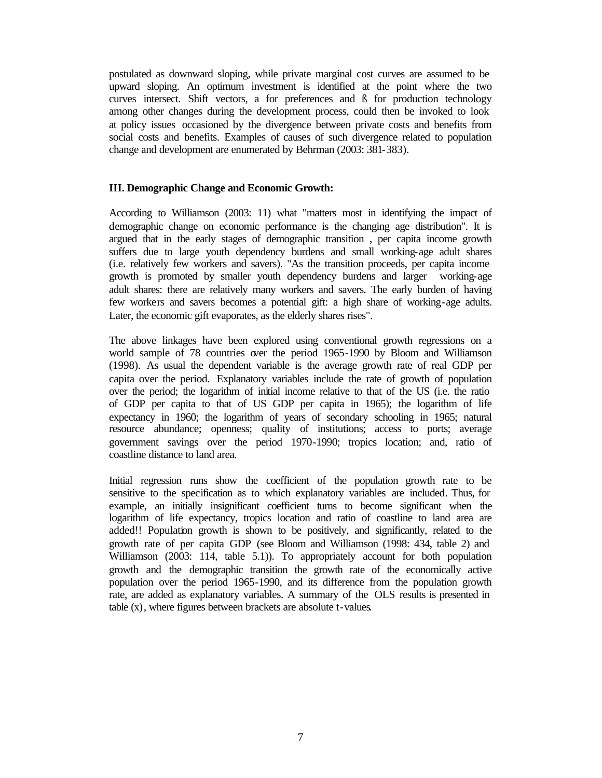postulated as downward sloping, while private marginal cost curves are assumed to be upward sloping. An optimum investment is identified at the point where the two curves intersect. Shift vectors, a for preferences and ß for production technology among other changes during the development process, could then be invoked to look at policy issues occasioned by the divergence between private costs and benefits from social costs and benefits. Examples of causes of such divergence related to population change and development are enumerated by Behrman (2003: 381-383).

#### **III. Demographic Change and Economic Growth:**

According to Williamson (2003: 11) what "matters most in identifying the impact of demographic change on economic performance is the changing age distribution". It is argued that in the early stages of demographic transition , per capita income growth suffers due to large youth dependency burdens and small working-age adult shares (i.e. relatively few workers and savers). "As the transition proceeds, per capita income growth is promoted by smaller youth dependency burdens and larger working-age adult shares: there are relatively many workers and savers. The early burden of having few workers and savers becomes a potential gift: a high share of working-age adults. Later, the economic gift evaporates, as the elderly shares rises".

The above linkages have been explored using conventional growth regressions on a world sample of 78 countries over the period 1965-1990 by Bloom and Williamson (1998). As usual the dependent variable is the average growth rate of real GDP per capita over the period. Explanatory variables include the rate of growth of population over the period; the logarithm of initial income relative to that of the US (i.e. the ratio of GDP per capita to that of US GDP per capita in 1965); the logarithm of life expectancy in 1960; the logarithm of years of secondary schooling in 1965; natural resource abundance; openness; quality of institutions; access to ports; average government savings over the period 1970-1990; tropics location; and, ratio of coastline distance to land area.

Initial regression runs show the coefficient of the population growth rate to be sensitive to the specification as to which explanatory variables are included. Thus, for example, an initially insignificant coefficient turns to become significant when the logarithm of life expectancy, tropics location and ratio of coastline to land area are added!! Population growth is shown to be positively, and significantly, related to the growth rate of per capita GDP (see Bloom and Williamson (1998: 434, table 2) and Williamson (2003: 114, table 5.1)). To appropriately account for both population growth and the demographic transition the growth rate of the economically active population over the period 1965-1990, and its difference from the population growth rate, are added as explanatory variables. A summary of the OLS results is presented in table (x), where figures between brackets are absolute t-values.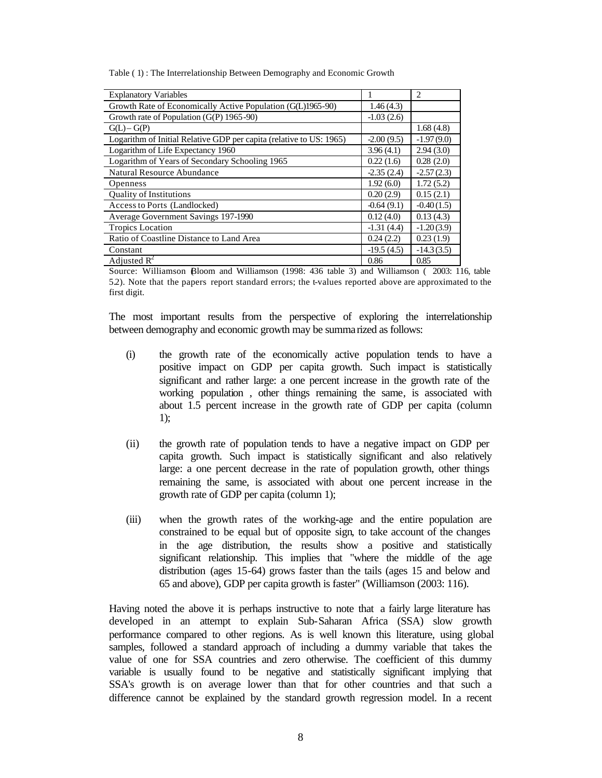Table ( 1) : The Interrelationship Between Demography and Economic Growth

| <b>Explanatory Variables</b>                                        |              | $\overline{c}$ |
|---------------------------------------------------------------------|--------------|----------------|
| Growth Rate of Economically Active Population (G(L)1965-90)         | 1.46(4.3)    |                |
| Growth rate of Population (G(P) 1965-90)                            | $-1.03(2.6)$ |                |
| $G(L) - G(P)$                                                       |              | 1.68(4.8)      |
| Logarithm of Initial Relative GDP per capita (relative to US: 1965) | $-2.00(9.5)$ | $-1.97(9.0)$   |
| Logarithm of Life Expectancy 1960                                   | 3.96(4.1)    | 2.94(3.0)      |
| Logarithm of Years of Secondary Schooling 1965                      | 0.22(1.6)    | 0.28(2.0)      |
| Natural Resource Abundance                                          | $-2.35(2.4)$ | $-2.57(2.3)$   |
| <b>Openness</b>                                                     | 1.92(6.0)    | 1.72(5.2)      |
| <b>Ouality of Institutions</b>                                      | 0.20(2.9)    | 0.15(2.1)      |
| Access to Ports (Landlocked)                                        | $-0.64(9.1)$ | $-0.40(1.5)$   |
| Average Government Savings 197-1990                                 | 0.12(4.0)    | 0.13(4.3)      |
| <b>Tropics Location</b>                                             | $-1.31(4.4)$ | $-1.20(3.9)$   |
| Ratio of Coastline Distance to Land Area                            | 0.24(2.2)    | 0.23(1.9)      |
| Constant                                                            | $-19.5(4.5)$ | $-14.3(3.5)$   |
| Adjusted $R^2$                                                      | 0.86         | 0.85           |

Source: Williamson (Bloom and Williamson (1998: 436 table 3) and Williamson ( 2003: 116, table 5.2). Note that the papers report standard errors; the t-values reported above are approximated to the first digit.

The most important results from the perspective of exploring the interrelationship between demography and economic growth may be summarized as follows:

- (i) the growth rate of the economically active population tends to have a positive impact on GDP per capita growth. Such impact is statistically significant and rather large: a one percent increase in the growth rate of the working population , other things remaining the same, is associated with about 1.5 percent increase in the growth rate of GDP per capita (column 1);
- (ii) the growth rate of population tends to have a negative impact on GDP per capita growth. Such impact is statistically significant and also relatively large: a one percent decrease in the rate of population growth, other things remaining the same, is associated with about one percent increase in the growth rate of GDP per capita (column 1);
- (iii) when the growth rates of the working-age and the entire population are constrained to be equal but of opposite sign, to take account of the changes in the age distribution, the results show a positive and statistically significant relationship. This implies that "where the middle of the age distribution (ages 15-64) grows faster than the tails (ages 15 and below and 65 and above), GDP per capita growth is faster" (Williamson (2003: 116).

Having noted the above it is perhaps instructive to note that a fairly large literature has developed in an attempt to explain Sub-Saharan Africa (SSA) slow growth performance compared to other regions. As is well known this literature, using global samples, followed a standard approach of including a dummy variable that takes the value of one for SSA countries and zero otherwise. The coefficient of this dummy variable is usually found to be negative and statistically significant implying that SSA's growth is on average lower than that for other countries and that such a difference cannot be explained by the standard growth regression model. In a recent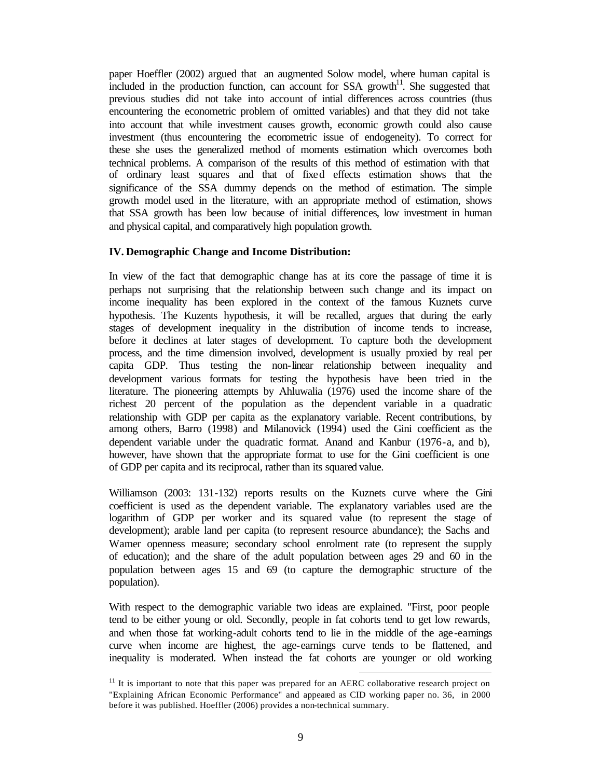paper Hoeffler (2002) argued that an augmented Solow model, where human capital is included in the production function, can account for SSA growth<sup>11</sup>. She suggested that previous studies did not take into account of intial differences across countries (thus encountering the econometric problem of omitted variables) and that they did not take into account that while investment causes growth, economic growth could also cause investment (thus encountering the econometric issue of endogeneity). To correct for these she uses the generalized method of moments estimation which overcomes both technical problems. A comparison of the results of this method of estimation with that of ordinary least squares and that of fixed effects estimation shows that the significance of the SSA dummy depends on the method of estimation. The simple growth model used in the literature, with an appropriate method of estimation, shows that SSA growth has been low because of initial differences, low investment in human and physical capital, and comparatively high population growth.

### **IV. Demographic Change and Income Distribution:**

In view of the fact that demographic change has at its core the passage of time it is perhaps not surprising that the relationship between such change and its impact on income inequality has been explored in the context of the famous Kuznets curve hypothesis. The Kuzents hypothesis, it will be recalled, argues that during the early stages of development inequality in the distribution of income tends to increase, before it declines at later stages of development. To capture both the development process, and the time dimension involved, development is usually proxied by real per capita GDP. Thus testing the non-linear relationship between inequality and development various formats for testing the hypothesis have been tried in the literature. The pioneering attempts by Ahluwalia (1976) used the income share of the richest 20 percent of the population as the dependent variable in a quadratic relationship with GDP per capita as the explanatory variable. Recent contributions, by among others, Barro (1998) and Milanovick (1994) used the Gini coefficient as the dependent variable under the quadratic format. Anand and Kanbur (1976-a, and b), however, have shown that the appropriate format to use for the Gini coefficient is one of GDP per capita and its reciprocal, rather than its squared value.

Williamson (2003: 131-132) reports results on the Kuznets curve where the Gini coefficient is used as the dependent variable. The explanatory variables used are the logarithm of GDP per worker and its squared value (to represent the stage of development); arable land per capita (to represent resource abundance); the Sachs and Warner openness measure; secondary school enrolment rate (to represent the supply of education); and the share of the adult population between ages 29 and 60 in the population between ages 15 and 69 (to capture the demographic structure of the population).

With respect to the demographic variable two ideas are explained. "First, poor people tend to be either young or old. Secondly, people in fat cohorts tend to get low rewards, and when those fat working-adult cohorts tend to lie in the middle of the age-earnings curve when income are highest, the age-earnings curve tends to be flattened, and inequality is moderated. When instead the fat cohorts are younger or old working

 $11$  It is important to note that this paper was prepared for an AERC collaborative research project on "Explaining African Economic Performance" and appeared as CID working paper no. 36, in 2000 before it was published. Hoeffler (2006) provides a non-technical summary.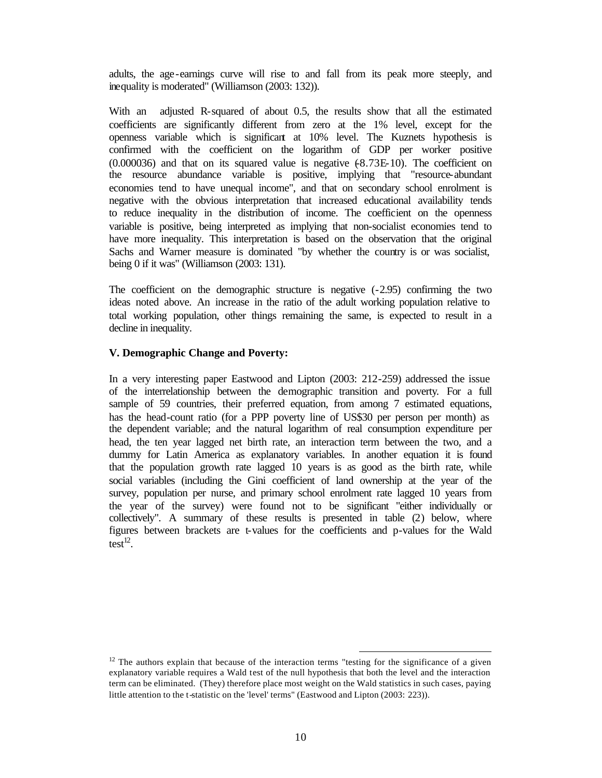adults, the age-earnings curve will rise to and fall from its peak more steeply, and inequality is moderated" (Williamson (2003: 132)).

With an adjusted R-squared of about 0.5, the results show that all the estimated coefficients are significantly different from zero at the 1% level, except for the openness variable which is significant at 10% level. The Kuznets hypothesis is confirmed with the coefficient on the logarithm of GDP per worker positive  $(0.000036)$  and that on its squared value is negative  $(8.73E-10)$ . The coefficient on the resource abundance variable is positive, implying that "resource-abundant economies tend to have unequal income", and that on secondary school enrolment is negative with the obvious interpretation that increased educational availability tends to reduce inequality in the distribution of income. The coefficient on the openness variable is positive, being interpreted as implying that non-socialist economies tend to have more inequality. This interpretation is based on the observation that the original Sachs and Warner measure is dominated "by whether the country is or was socialist, being 0 if it was" (Williamson (2003: 131).

The coefficient on the demographic structure is negative (-2.95) confirming the two ideas noted above. An increase in the ratio of the adult working population relative to total working population, other things remaining the same, is expected to result in a decline in inequality.

#### **V. Demographic Change and Poverty:**

In a very interesting paper Eastwood and Lipton (2003: 212-259) addressed the issue of the interrelationship between the demographic transition and poverty. For a full sample of 59 countries, their preferred equation, from among 7 estimated equations, has the head-count ratio (for a PPP poverty line of US\$30 per person per month) as the dependent variable; and the natural logarithm of real consumption expenditure per head, the ten year lagged net birth rate, an interaction term between the two, and a dummy for Latin America as explanatory variables. In another equation it is found that the population growth rate lagged 10 years is as good as the birth rate, while social variables (including the Gini coefficient of land ownership at the year of the survey, population per nurse, and primary school enrolment rate lagged 10 years from the year of the survey) were found not to be significant "either individually or collectively". A summary of these results is presented in table (2) below, where figures between brackets are t-values for the coefficients and p-values for the Wald test $^{12}$ .

 $12$  The authors explain that because of the interaction terms "testing for the significance of a given explanatory variable requires a Wald test of the null hypothesis that both the level and the interaction term can be eliminated. (They) therefore place most weight on the Wald statistics in such cases, paying little attention to the t-statistic on the 'level' terms" (Eastwood and Lipton (2003: 223)).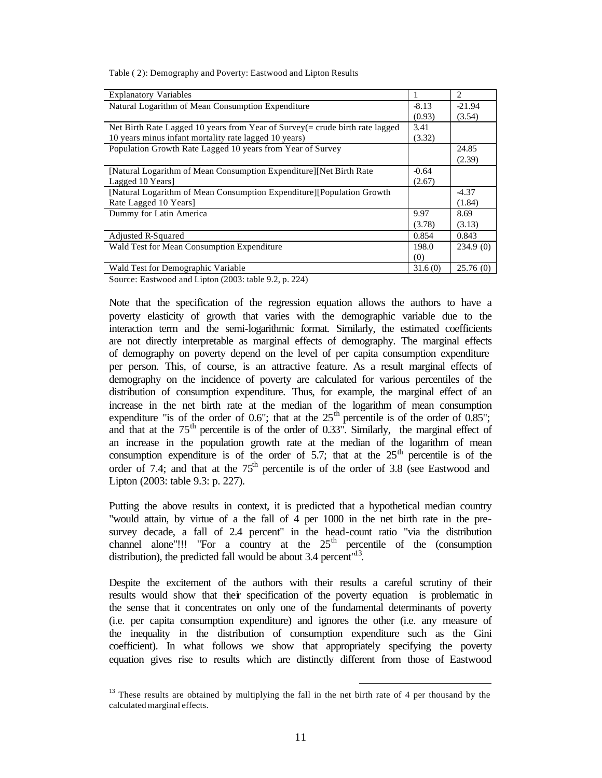| <b>Explanatory Variables</b>                                                     |         | $\overline{c}$ |
|----------------------------------------------------------------------------------|---------|----------------|
| Natural Logarithm of Mean Consumption Expenditure                                | $-8.13$ | $-21.94$       |
|                                                                                  | (0.93)  | (3.54)         |
| Net Birth Rate Lagged 10 years from Year of Survey $($ = crude birth rate lagged | 3.41    |                |
| 10 years minus infant mortality rate lagged 10 years)                            | (3.32)  |                |
| Population Growth Rate Lagged 10 years from Year of Survey                       |         | 24.85          |
|                                                                                  |         | (2.39)         |
| [Natural Logarithm of Mean Consumption Expenditure][Net Birth Rate]              | $-0.64$ |                |
| Lagged 10 Years]                                                                 | (2.67)  |                |
| [Natural Logarithm of Mean Consumption Expenditure][Population Growth]           |         | -4.37          |
| Rate Lagged 10 Years]                                                            |         | (1.84)         |
| Dummy for Latin America                                                          | 9.97    | 8.69           |
|                                                                                  | (3.78)  | (3.13)         |
| Adjusted R-Squared                                                               | 0.854   | 0.843          |
| Wald Test for Mean Consumption Expenditure                                       | 198.0   | 234.9(0)       |
|                                                                                  | (0)     |                |
| Wald Test for Demographic Variable                                               | 31.6(0) | 25.76(0)       |

Source: Eastwood and Lipton (2003: table 9.2, p. 224)

Note that the specification of the regression equation allows the authors to have a poverty elasticity of growth that varies with the demographic variable due to the interaction term and the semi-logarithmic format. Similarly, the estimated coefficients are not directly interpretable as marginal effects of demography. The marginal effects of demography on poverty depend on the level of per capita consumption expenditure per person. This, of course, is an attractive feature. As a result marginal effects of demography on the incidence of poverty are calculated for various percentiles of the distribution of consumption expenditure. Thus, for example, the marginal effect of an increase in the net birth rate at the median of the logarithm of mean consumption expenditure "is of the order of 0.6"; that at the  $25<sup>th</sup>$  percentile is of the order of 0.85"; and that at the  $75<sup>th</sup>$  percentile is of the order of 0.33". Similarly, the marginal effect of an increase in the population growth rate at the median of the logarithm of mean consumption expenditure is of the order of 5.7; that at the  $25<sup>th</sup>$  percentile is of the order of 7.4; and that at the  $75<sup>th</sup>$  percentile is of the order of 3.8 (see Eastwood and Lipton (2003: table 9.3: p. 227).

Putting the above results in context, it is predicted that a hypothetical median country "would attain, by virtue of a the fall of 4 per 1000 in the net birth rate in the presurvey decade, a fall of 2.4 percent" in the head-count ratio "via the distribution channel alone"!!! "For a country at the  $25<sup>th</sup>$  percentile of the (consumption distribution), the predicted fall would be about 3.4 percent $13$ .

Despite the excitement of the authors with their results a careful scrutiny of their results would show that their specification of the poverty equation is problematic in the sense that it concentrates on only one of the fundamental determinants of poverty (i.e. per capita consumption expenditure) and ignores the other (i.e. any measure of the inequality in the distribution of consumption expenditure such as the Gini coefficient). In what follows we show that appropriately specifying the poverty equation gives rise to results which are distinctly different from those of Eastwood

<sup>&</sup>lt;sup>13</sup> These results are obtained by multiplying the fall in the net birth rate of 4 per thousand by the calculated marginal effects.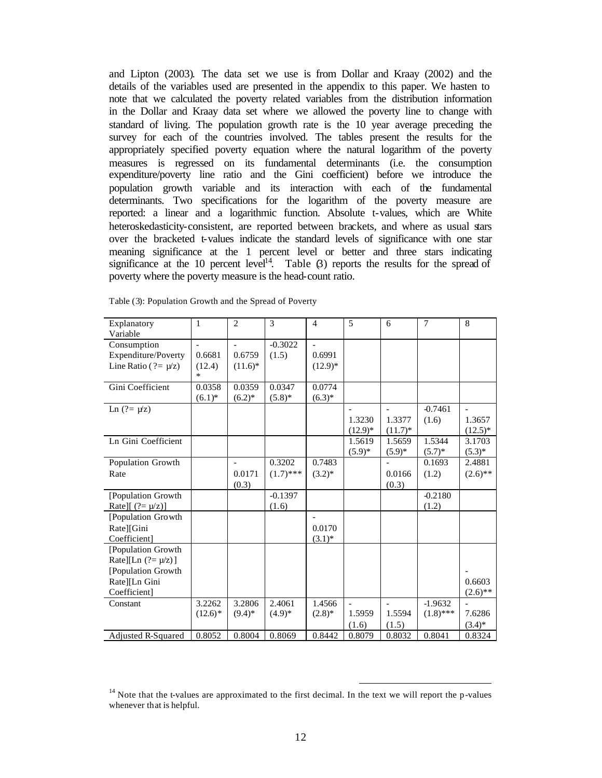and Lipton (2003). The data set we use is from Dollar and Kraay (2002) and the details of the variables used are presented in the appendix to this paper. We hasten to note that we calculated the poverty related variables from the distribution information in the Dollar and Kraay data set where we allowed the poverty line to change with standard of living. The population growth rate is the 10 year average preceding the survey for each of the countries involved. The tables present the results for the appropriately specified poverty equation where the natural logarithm of the poverty measures is regressed on its fundamental determinants (i.e. the consumption expenditure/poverty line ratio and the Gini coefficient) before we introduce the population growth variable and its interaction with each of the fundamental determinants. Two specifications for the logarithm of the poverty measure are reported: a linear and a logarithmic function. Absolute t-values, which are White heteroskedasticity-consistent, are reported between brackets, and where as usual stars over the bracketed t-values indicate the standard levels of significance with one star meaning significance at the 1 percent level or better and three stars indicating significance at the 10 percent level<sup>14</sup>. Table  $\beta$ ) reports the results for the spread of poverty where the poverty measure is the head-count ratio.

| Explanatory                | 1          | $\overline{2}$ | 3           | $\overline{4}$ | 5              | 6              | $\overline{7}$ | 8           |
|----------------------------|------------|----------------|-------------|----------------|----------------|----------------|----------------|-------------|
| Variable                   |            |                |             |                |                |                |                |             |
| Consumption                |            |                | $-0.3022$   |                |                |                |                |             |
| Expenditure/Poverty        | 0.6681     | 0.6759         | (1.5)       | 0.6991         |                |                |                |             |
| Line Ratio ( $? = \mu/z$ ) | (12.4)     | $(11.6)^*$     |             | $(12.9)*$      |                |                |                |             |
|                            | $\ast$     |                |             |                |                |                |                |             |
| Gini Coefficient           | 0.0358     | 0.0359         | 0.0347      | 0.0774         |                |                |                |             |
|                            | $(6.1)^*$  | $(6.2)^*$      | $(5.8)$ *   | $(6.3)*$       |                |                |                |             |
| Ln $(2 = \mu/z)$           |            |                |             |                |                |                | $-0.7461$      |             |
|                            |            |                |             |                | 1.3230         | 1.3377         | (1.6)          | 1.3657      |
|                            |            |                |             |                | $(12.9)^*$     | $(11.7)^*$     |                | $(12.5)^*$  |
| Ln Gini Coefficient        |            |                |             |                | 1.5619         | 1.5659         | 1.5344         | 3.1703      |
|                            |            |                |             |                | $(5.9)*$       | $(5.9)^*$      | $(5.7)^*$      | $(5.3)^{*}$ |
| Population Growth          |            | $\overline{a}$ | 0.3202      | 0.7483         |                |                | 0.1693         | 2.4881      |
| Rate                       |            | 0.0171         | $(1.7)$ *** | $(3.2)^*$      |                | 0.0166         | (1.2)          | $(2.6)$ **  |
|                            |            | (0.3)          |             |                |                | (0.3)          |                |             |
| [Population Growth         |            |                | $-0.1397$   |                |                |                | $-0.2180$      |             |
| Rate][ $(?=\mu/z)]$        |            |                | (1.6)       |                |                |                | (1.2)          |             |
| [Population Growth         |            |                |             |                |                |                |                |             |
| Rate][Gini                 |            |                |             | 0.0170         |                |                |                |             |
| Coefficient]               |            |                |             | $(3.1)^*$      |                |                |                |             |
| [Population Growth         |            |                |             |                |                |                |                |             |
| Rate][Ln $(?=\mu/z)$ ]     |            |                |             |                |                |                |                |             |
| [Population Growth         |            |                |             |                |                |                |                |             |
| Rate][Ln Gini              |            |                |             |                |                |                |                | 0.6603      |
| Coefficient]               |            |                |             |                |                |                |                | $(2.6)$ **  |
| Constant                   | 3.2262     | 3.2806         | 2.4061      | 1.4566         | $\overline{a}$ | $\overline{a}$ | $-1.9632$      |             |
|                            | $(12.6)$ * | $(9.4)$ *      | $(4.9)*$    | $(2.8)$ *      | 1.5959         | 1.5594         | $(1.8)$ ***    | 7.6286      |
|                            |            |                |             |                | (1.6)          | (1.5)          |                | $(3.4)*$    |
| Adjusted R-Squared         | 0.8052     | 0.8004         | 0.8069      | 0.8442         | 0.8079         | 0.8032         | 0.8041         | 0.8324      |

Table (3): Population Growth and the Spread of Poverty

 $14$  Note that the t-values are approximated to the first decimal. In the text we will report the p-values whenever that is helpful.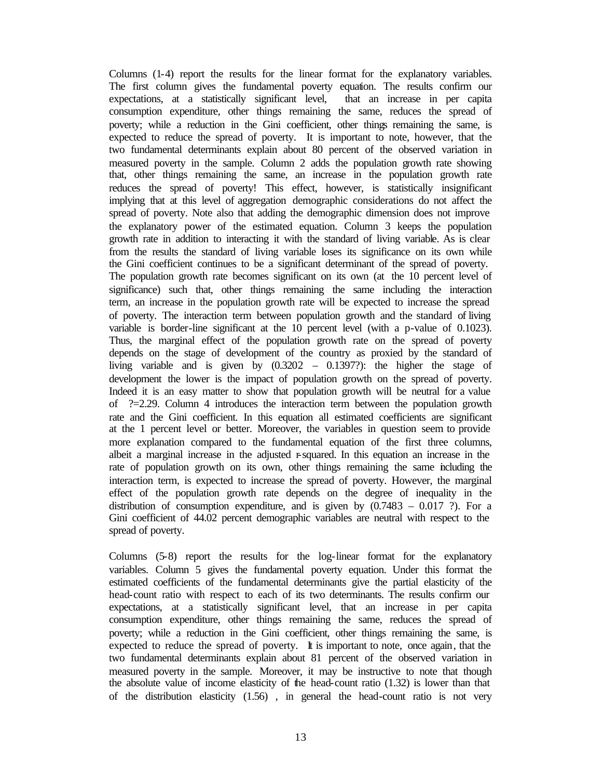Columns (1-4) report the results for the linear format for the explanatory variables. The first column gives the fundamental poverty equation. The results confirm our expectations, at a statistically significant level, that an increase in per capita consumption expenditure, other things remaining the same, reduces the spread of poverty; while a reduction in the Gini coefficient, other things remaining the same, is expected to reduce the spread of poverty. It is important to note, however, that the two fundamental determinants explain about 80 percent of the observed variation in measured poverty in the sample. Column 2 adds the population growth rate showing that, other things remaining the same, an increase in the population growth rate reduces the spread of poverty! This effect, however, is statistically insignificant implying that at this level of aggregation demographic considerations do not affect the spread of poverty. Note also that adding the demographic dimension does not improve the explanatory power of the estimated equation. Column 3 keeps the population growth rate in addition to interacting it with the standard of living variable. As is clear from the results the standard of living variable loses its significance on its own while the Gini coefficient continues to be a significant determinant of the spread of poverty. The population growth rate becomes significant on its own (at the 10 percent level of significance) such that, other things remaining the same including the interaction term, an increase in the population growth rate will be expected to increase the spread of poverty. The interaction term between population growth and the standard of living variable is border-line significant at the 10 percent level (with a p-value of 0.1023). Thus, the marginal effect of the population growth rate on the spread of poverty depends on the stage of development of the country as proxied by the standard of living variable and is given by  $(0.3202 - 0.1397)$ : the higher the stage of development the lower is the impact of population growth on the spread of poverty. Indeed it is an easy matter to show that population growth will be neutral for a value of  $?=2.29$ . Column 4 introduces the interaction term between the population growth rate and the Gini coefficient. In this equation all estimated coefficients are significant at the 1 percent level or better. Moreover, the variables in question seem to provide more explanation compared to the fundamental equation of the first three columns, albeit a marginal increase in the adjusted r-squared. In this equation an increase in the rate of population growth on its own, other things remaining the same including the interaction term, is expected to increase the spread of poverty. However, the marginal effect of the population growth rate depends on the degree of inequality in the distribution of consumption expenditure, and is given by  $(0.7483 - 0.017)$ ?). For a Gini coefficient of 44.02 percent demographic variables are neutral with respect to the spread of poverty.

Columns (5-8) report the results for the log-linear format for the explanatory variables. Column 5 gives the fundamental poverty equation. Under this format the estimated coefficients of the fundamental determinants give the partial elasticity of the head-count ratio with respect to each of its two determinants. The results confirm our expectations, at a statistically significant level, that an increase in per capita consumption expenditure, other things remaining the same, reduces the spread of poverty; while a reduction in the Gini coefficient, other things remaining the same, is expected to reduce the spread of poverty. It is important to note, once again, that the two fundamental determinants explain about 81 percent of the observed variation in measured poverty in the sample. Moreover, it may be instructive to note that though the absolute value of income elasticity of the head-count ratio (1.32) is lower than that of the distribution elasticity (1.56) , in general the head-count ratio is not very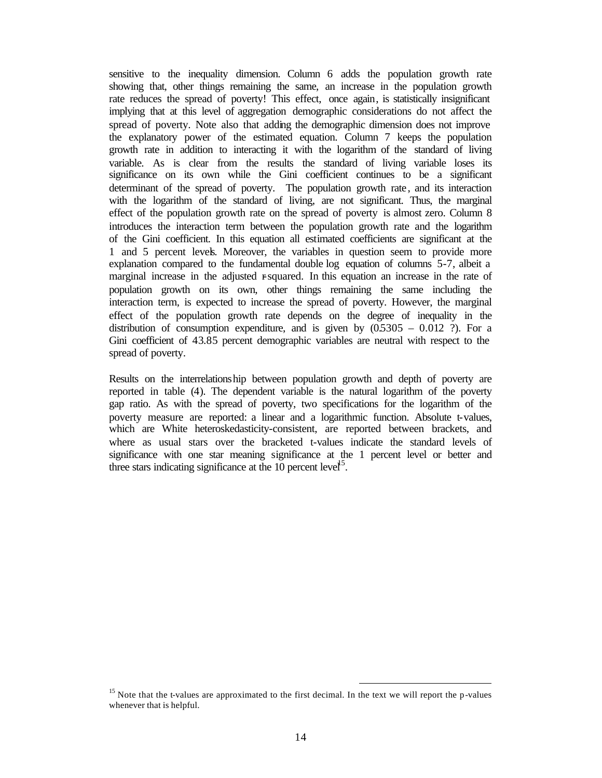sensitive to the inequality dimension. Column 6 adds the population growth rate showing that, other things remaining the same, an increase in the population growth rate reduces the spread of poverty! This effect, once again, is statistically insignificant implying that at this level of aggregation demographic considerations do not affect the spread of poverty. Note also that adding the demographic dimension does not improve the explanatory power of the estimated equation. Column 7 keeps the population growth rate in addition to interacting it with the logarithm of the standard of living variable. As is clear from the results the standard of living variable loses its significance on its own while the Gini coefficient continues to be a significant determinant of the spread of poverty. The population growth rate, and its interaction with the logarithm of the standard of living, are not significant. Thus, the marginal effect of the population growth rate on the spread of poverty is almost zero. Column 8 introduces the interaction term between the population growth rate and the logarithm of the Gini coefficient. In this equation all estimated coefficients are significant at the 1 and 5 percent levels. Moreover, the variables in question seem to provide more explanation compared to the fundamental double log equation of columns 5-7, albeit a marginal increase in the adjusted r-squared. In this equation an increase in the rate of population growth on its own, other things remaining the same including the interaction term, is expected to increase the spread of poverty. However, the marginal effect of the population growth rate depends on the degree of inequality in the distribution of consumption expenditure, and is given by  $(0.5305 - 0.012)$ ?). For a Gini coefficient of 43.85 percent demographic variables are neutral with respect to the spread of poverty.

Results on the interrelationship between population growth and depth of poverty are reported in table (4). The dependent variable is the natural logarithm of the poverty gap ratio. As with the spread of poverty, two specifications for the logarithm of the poverty measure are reported: a linear and a logarithmic function. Absolute t-values, which are White heteroskedasticity-consistent, are reported between brackets, and where as usual stars over the bracketed t-values indicate the standard levels of significance with one star meaning significance at the 1 percent level or better and three stars indicating significance at the  $10$  percent level<sup>15</sup>.

<sup>&</sup>lt;sup>15</sup> Note that the t-values are approximated to the first decimal. In the text we will report the p-values whenever that is helpful.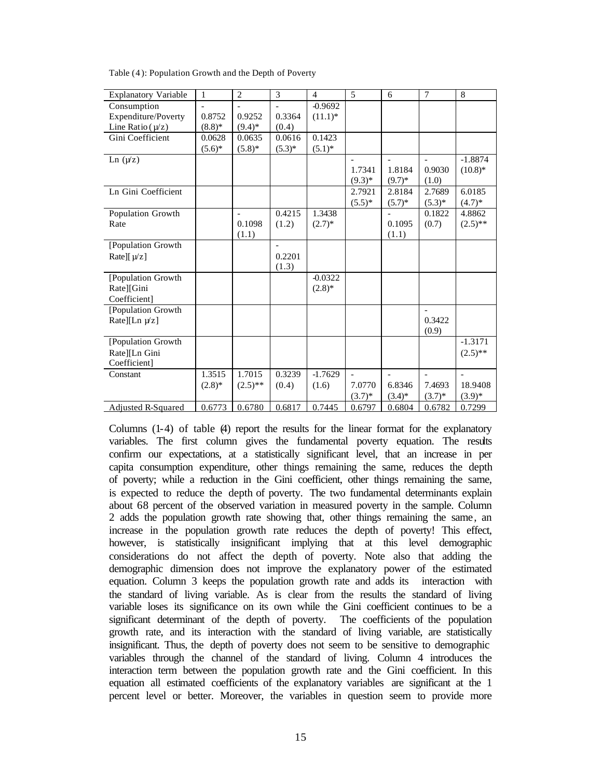| <b>Explanatory Variable</b>   | 1         | $\overline{2}$ | 3        | 4          | 5                        | 6                        | 7                        | $\,8\,$    |
|-------------------------------|-----------|----------------|----------|------------|--------------------------|--------------------------|--------------------------|------------|
| Consumption                   |           |                |          | $-0.9692$  |                          |                          |                          |            |
| Expenditure/Poverty           | 0.8752    | 0.9252         | 0.3364   | $(11.1)^*$ |                          |                          |                          |            |
| Line Ratio $(\mu/z)$          | $(8.8)$ * | $(9.4)*$       | (0.4)    |            |                          |                          |                          |            |
| Gini Coefficient              | 0.0628    | 0.0635         | 0.0616   | 0.1423     |                          |                          |                          |            |
|                               | $(5.6)^*$ | $(5.8)$ *      | $(5.3)*$ | $(5.1)^*$  |                          |                          |                          |            |
| Ln $(\mu z)$                  |           |                |          |            | $\overline{\phantom{a}}$ | $\overline{\phantom{0}}$ | $\overline{a}$           | $-1.8874$  |
|                               |           |                |          |            | 1.7341                   | 1.8184                   | 0.9030                   | $(10.8)$ * |
|                               |           |                |          |            | $(9.3)*$                 | $(9.7)$ *                | (1.0)                    |            |
| Ln Gini Coefficient           |           |                |          |            | 2.7921                   | 2.8184                   | 2.7689                   | 6.0185     |
|                               |           |                |          |            | $(5.5)^*$                | $(5.7)*$                 | $(5.3)*$                 | $(4.7)*$   |
| Population Growth             |           | $\overline{a}$ | 0.4215   | 1.3438     |                          |                          | 0.1822                   | 4.8862     |
| Rate                          |           | 0.1098         | (1.2)    | $(2.7)^*$  |                          | 0.1095                   | (0.7)                    | $(2.5)$ ** |
|                               |           | (1.1)          |          |            |                          | (1.1)                    |                          |            |
| [Population Growth            |           |                |          |            |                          |                          |                          |            |
| Rate][ $\mu$ /z]              |           |                | 0.2201   |            |                          |                          |                          |            |
|                               |           |                | (1.3)    |            |                          |                          |                          |            |
| [Population Growth            |           |                |          | $-0.0322$  |                          |                          |                          |            |
| Rate][Gini                    |           |                |          | $(2.8)$ *  |                          |                          |                          |            |
| Coefficient]                  |           |                |          |            |                          |                          |                          |            |
| [Population Growth            |           |                |          |            |                          |                          |                          |            |
| Rate][Ln $\mu$ <sup>z</sup> ] |           |                |          |            |                          |                          | 0.3422                   |            |
|                               |           |                |          |            |                          |                          | (0.9)                    |            |
| [Population Growth            |           |                |          |            |                          |                          |                          | $-1.3171$  |
| Rate][Ln Gini                 |           |                |          |            |                          |                          |                          | $(2.5)$ ** |
| Coefficient]                  |           |                |          |            |                          |                          |                          |            |
| Constant                      | 1.3515    | 1.7015         | 0.3239   | $-1.7629$  | $\overline{\phantom{0}}$ |                          | $\overline{\phantom{0}}$ |            |
|                               | $(2.8)$ * | $(2.5)$ **     | (0.4)    | (1.6)      | 7.0770                   | 6.8346                   | 7.4693                   | 18.9408    |
|                               |           |                |          |            | $(3.7)^{*}$              | $(3.4)$ *                | $(3.7)^*$                | $(3.9)*$   |
| Adjusted R-Squared            | 0.6773    | 0.6780         | 0.6817   | 0.7445     | 0.6797                   | 0.6804                   | 0.6782                   | 0.7299     |

Table (4 ): Population Growth and the Depth of Poverty

Columns (1-4) of table (4) report the results for the linear format for the explanatory variables. The first column gives the fundamental poverty equation. The results confirm our expectations, at a statistically significant level, that an increase in per capita consumption expenditure, other things remaining the same, reduces the depth of poverty; while a reduction in the Gini coefficient, other things remaining the same, is expected to reduce the depth of poverty. The two fundamental determinants explain about 68 percent of the observed variation in measured poverty in the sample. Column 2 adds the population growth rate showing that, other things remaining the same, an increase in the population growth rate reduces the depth of poverty! This effect, however, is statistically insignificant implying that at this level demographic considerations do not affect the depth of poverty. Note also that adding the demographic dimension does not improve the explanatory power of the estimated equation. Column 3 keeps the population growth rate and adds its interaction with the standard of living variable. As is clear from the results the standard of living variable loses its significance on its own while the Gini coefficient continues to be a significant determinant of the depth of poverty. The coefficients of the population growth rate, and its interaction with the standard of living variable, are statistically insignificant. Thus, the depth of poverty does not seem to be sensitive to demographic variables through the channel of the standard of living. Column 4 introduces the interaction term between the population growth rate and the Gini coefficient. In this equation all estimated coefficients of the explanatory variables are significant at the 1 percent level or better. Moreover, the variables in question seem to provide more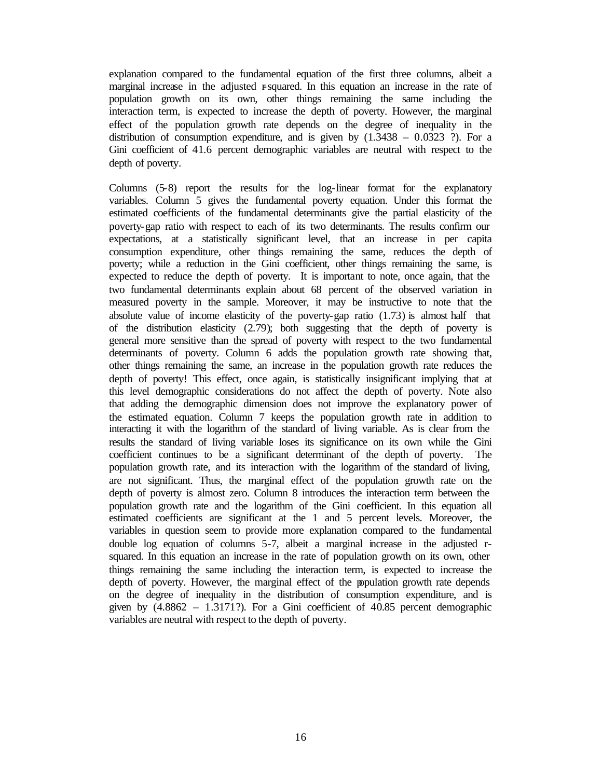explanation compared to the fundamental equation of the first three columns, albeit a marginal increase in the adjusted r-squared. In this equation an increase in the rate of population growth on its own, other things remaining the same including the interaction term, is expected to increase the depth of poverty. However, the marginal effect of the population growth rate depends on the degree of inequality in the distribution of consumption expenditure, and is given by  $(1.3438 - 0.0323)$ ?). For a Gini coefficient of 41.6 percent demographic variables are neutral with respect to the depth of poverty.

Columns (5-8) report the results for the log-linear format for the explanatory variables. Column 5 gives the fundamental poverty equation. Under this format the estimated coefficients of the fundamental determinants give the partial elasticity of the poverty-gap ratio with respect to each of its two determinants. The results confirm our expectations, at a statistically significant level, that an increase in per capita consumption expenditure, other things remaining the same, reduces the depth of poverty; while a reduction in the Gini coefficient, other things remaining the same, is expected to reduce the depth of poverty. It is important to note, once again, that the two fundamental determinants explain about 68 percent of the observed variation in measured poverty in the sample. Moreover, it may be instructive to note that the absolute value of income elasticity of the poverty-gap ratio  $(1.73)$  is almost half that of the distribution elasticity (2.79); both suggesting that the depth of poverty is general more sensitive than the spread of poverty with respect to the two fundamental determinants of poverty. Column 6 adds the population growth rate showing that, other things remaining the same, an increase in the population growth rate reduces the depth of poverty! This effect, once again, is statistically insignificant implying that at this level demographic considerations do not affect the depth of poverty. Note also that adding the demographic dimension does not improve the explanatory power of the estimated equation. Column 7 keeps the population growth rate in addition to interacting it with the logarithm of the standard of living variable. As is clear from the results the standard of living variable loses its significance on its own while the Gini coefficient continues to be a significant determinant of the depth of poverty. The population growth rate, and its interaction with the logarithm of the standard of living, are not significant. Thus, the marginal effect of the population growth rate on the depth of poverty is almost zero. Column 8 introduces the interaction term between the population growth rate and the logarithm of the Gini coefficient. In this equation all estimated coefficients are significant at the 1 and 5 percent levels. Moreover, the variables in question seem to provide more explanation compared to the fundamental double log equation of columns 5-7, albeit a marginal increase in the adjusted rsquared. In this equation an increase in the rate of population growth on its own, other things remaining the same including the interaction term, is expected to increase the depth of poverty. However, the marginal effect of the population growth rate depends on the degree of inequality in the distribution of consumption expenditure, and is given by  $(4.8862 - 1.3171?)$ . For a Gini coefficient of  $40.85$  percent demographic variables are neutral with respect to the depth of poverty.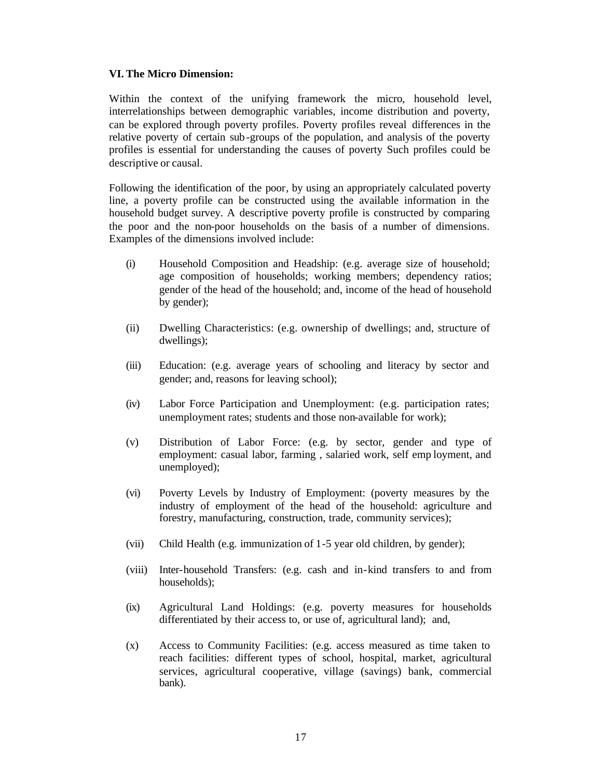### **VI. The Micro Dimension:**

Within the context of the unifying framework the micro, household level, interrelationships between demographic variables, income distribution and poverty, can be explored through poverty profiles. Poverty profiles reveal differences in the relative poverty of certain sub-groups of the population, and analysis of the poverty profiles is essential for understanding the causes of poverty Such profiles could be descriptive or causal.

Following the identification of the poor, by using an appropriately calculated poverty line, a poverty profile can be constructed using the available information in the household budget survey. A descriptive poverty profile is constructed by comparing the poor and the non-poor households on the basis of a number of dimensions. Examples of the dimensions involved include:

- (i) Household Composition and Headship: (e.g. average size of household; age composition of households; working members; dependency ratios; gender of the head of the household; and, income of the head of household by gender);
- (ii) Dwelling Characteristics: (e.g. ownership of dwellings; and, structure of dwellings);
- (iii) Education: (e.g. average years of schooling and literacy by sector and gender; and, reasons for leaving school);
- (iv) Labor Force Participation and Unemployment: (e.g. participation rates; unemployment rates; students and those non-available for work);
- (v) Distribution of Labor Force: (e.g. by sector, gender and type of employment: casual labor, farming , salaried work, self emp loyment, and unemployed);
- (vi) Poverty Levels by Industry of Employment: (poverty measures by the industry of employment of the head of the household: agriculture and forestry, manufacturing, construction, trade, community services);
- (vii) Child Health (e.g. immunization of 1-5 year old children, by gender);
- (viii) Inter-household Transfers: (e.g. cash and in-kind transfers to and from households);
- (ix) Agricultural Land Holdings: (e.g. poverty measures for households differentiated by their access to, or use of, agricultural land); and,
- (x) Access to Community Facilities: (e.g. access measured as time taken to reach facilities: different types of school, hospital, market, agricultural services, agricultural cooperative, village (savings) bank, commercial bank).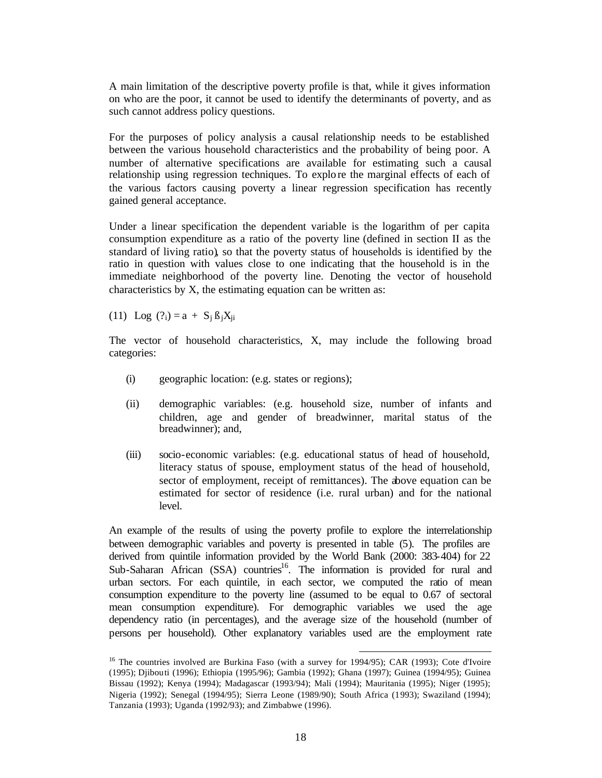A main limitation of the descriptive poverty profile is that, while it gives information on who are the poor, it cannot be used to identify the determinants of poverty, and as such cannot address policy questions.

For the purposes of policy analysis a causal relationship needs to be established between the various household characteristics and the probability of being poor. A number of alternative specifications are available for estimating such a causal relationship using regression techniques. To explo re the marginal effects of each of the various factors causing poverty a linear regression specification has recently gained general acceptance.

Under a linear specification the dependent variable is the logarithm of per capita consumption expenditure as a ratio of the poverty line (defined in section II as the standard of living ratio), so that the poverty status of households is identified by the ratio in question with values close to one indicating that the household is in the immediate neighborhood of the poverty line. Denoting the vector of household characteristics by X, the estimating equation can be written as:

(11) Log  $(?_i) = a + S_i \beta_i X_{ii}$ 

The vector of household characteristics, X, may include the following broad categories:

- (i) geographic location: (e.g. states or regions);
- (ii) demographic variables: (e.g. household size, number of infants and children, age and gender of breadwinner, marital status of the breadwinner); and,
- (iii) socio-economic variables: (e.g. educational status of head of household, literacy status of spouse, employment status of the head of household, sector of employment, receipt of remittances). The above equation can be estimated for sector of residence (i.e. rural urban) and for the national level.

An example of the results of using the poverty profile to explore the interrelationship between demographic variables and poverty is presented in table (5). The profiles are derived from quintile information provided by the World Bank (2000: 383-404) for 22 Sub-Saharan African (SSA) countries<sup>16</sup>. The information is provided for rural and urban sectors. For each quintile, in each sector, we computed the ratio of mean consumption expenditure to the poverty line (assumed to be equal to 0.67 of sectoral mean consumption expenditure). For demographic variables we used the age dependency ratio (in percentages), and the average size of the household (number of persons per household). Other explanatory variables used are the employment rate

<sup>&</sup>lt;sup>16</sup> The countries involved are Burkina Faso (with a survey for 1994/95); CAR (1993); Cote d'Ivoire (1995); Djibouti (1996); Ethiopia (1995/96); Gambia (1992); Ghana (1997); Guinea (1994/95); Guinea Bissau (1992); Kenya (1994); Madagascar (1993/94); Mali (1994); Mauritania (1995); Niger (1995); Nigeria (1992); Senegal (1994/95); Sierra Leone (1989/90); South Africa (1993); Swaziland (1994); Tanzania (1993); Uganda (1992/93); and Zimbabwe (1996).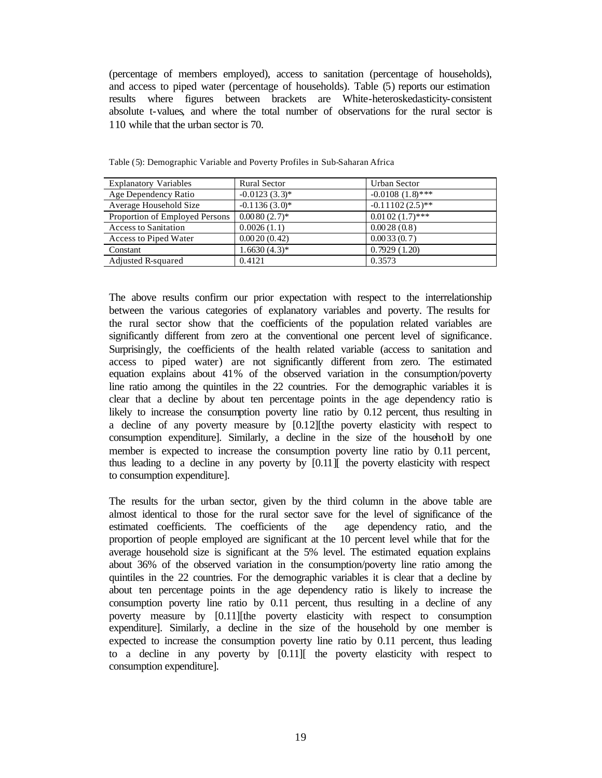(percentage of members employed), access to sanitation (percentage of households), and access to piped water (percentage of households). Table (5) reports our estimation results where figures between brackets are White-heteroskedasticity-consistent absolute t-values, and where the total number of observations for the rural sector is 110 while that the urban sector is 70.

| <b>Explanatory Variables</b>   | <b>Rural Sector</b> | <b>Urban Sector</b> |
|--------------------------------|---------------------|---------------------|
| Age Dependency Ratio           | $-0.0123(3.3)$ *    | $-0.0108(1.8)$ ***  |
| Average Household Size         | $-0.1136(3.0)$ *    | $-0.11102(2.5)$ **  |
| Proportion of Employed Persons | $0.0080(2.7)$ *     | $0.0102(1.7)$ ***   |
| <b>Access to Sanitation</b>    | 0.0026(1.1)         | 0.0028(0.8)         |
| Access to Piped Water          | 0.0020(0.42)        | 0.0033(0.7)         |
| Constant                       | $1.6630(4.3)*$      | 0.7929(1.20)        |
| Adjusted R-squared             | 0.4121              | 0.3573              |

Table (5): Demographic Variable and Poverty Profiles in Sub-Saharan Africa

The above results confirm our prior expectation with respect to the interrelationship between the various categories of explanatory variables and poverty. The results for the rural sector show that the coefficients of the population related variables are significantly different from zero at the conventional one percent level of significance. Surprisingly, the coefficients of the health related variable (access to sanitation and access to piped water) are not significantly different from zero. The estimated equation explains about 41% of the observed variation in the consumption/poverty line ratio among the quintiles in the 22 countries. For the demographic variables it is clear that a decline by about ten percentage points in the age dependency ratio is likely to increase the consumption poverty line ratio by 0.12 percent, thus resulting in a decline of any poverty measure by [0.12][the poverty elasticity with respect to consumption expenditure]. Similarly, a decline in the size of the household by one member is expected to increase the consumption poverty line ratio by 0.11 percent, thus leading to a decline in any poverty by [0.11][ the poverty elasticity with respect to consumption expenditure].

The results for the urban sector, given by the third column in the above table are almost identical to those for the rural sector save for the level of significance of the estimated coefficients. The coefficients of the age dependency ratio, and the proportion of people employed are significant at the 10 percent level while that for the average household size is significant at the 5% level. The estimated equation explains about 36% of the observed variation in the consumption/poverty line ratio among the quintiles in the 22 countries. For the demographic variables it is clear that a decline by about ten percentage points in the age dependency ratio is likely to increase the consumption poverty line ratio by 0.11 percent, thus resulting in a decline of any poverty measure by [0.11][the poverty elasticity with respect to consumption expenditure]. Similarly, a decline in the size of the household by one member is expected to increase the consumption poverty line ratio by 0.11 percent, thus leading to a decline in any poverty by [0.11][ the poverty elasticity with respect to consumption expenditure].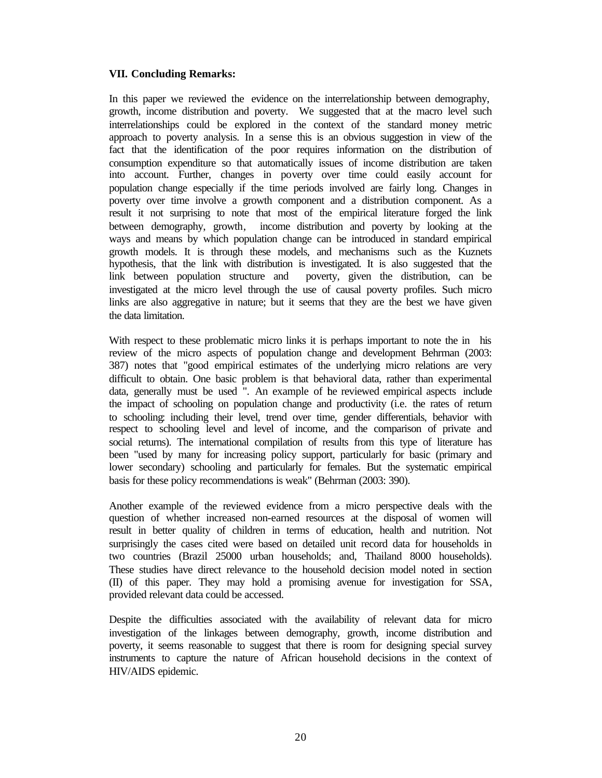# **VII. Concluding Remarks:**

In this paper we reviewed the evidence on the interrelationship between demography, growth, income distribution and poverty. We suggested that at the macro level such interrelationships could be explored in the context of the standard money metric approach to poverty analysis. In a sense this is an obvious suggestion in view of the fact that the identification of the poor requires information on the distribution of consumption expenditure so that automatically issues of income distribution are taken into account. Further, changes in poverty over time could easily account for population change especially if the time periods involved are fairly long. Changes in poverty over time involve a growth component and a distribution component. As a result it not surprising to note that most of the empirical literature forged the link between demography, growth, income distribution and poverty by looking at the ways and means by which population change can be introduced in standard empirical growth models. It is through these models, and mechanisms such as the Kuznets hypothesis, that the link with distribution is investigated. It is also suggested that the link between population structure and poverty, given the distribution, can be investigated at the micro level through the use of causal poverty profiles. Such micro links are also aggregative in nature; but it seems that they are the best we have given the data limitation.

With respect to these problematic micro links it is perhaps important to note the in his review of the micro aspects of population change and development Behrman (2003: 387) notes that "good empirical estimates of the underlying micro relations are very difficult to obtain. One basic problem is that behavioral data, rather than experimental data, generally must be used ". An example of the reviewed empirical aspects include the impact of schooling on population change and productivity (i.e. the rates of return to schooling: including their level, trend over time, gender differentials, behavior with respect to schooling level and level of income, and the comparison of private and social returns). The international compilation of results from this type of literature has been "used by many for increasing policy support, particularly for basic (primary and lower secondary) schooling and particularly for females. But the systematic empirical basis for these policy recommendations is weak" (Behrman (2003: 390).

Another example of the reviewed evidence from a micro perspective deals with the question of whether increased non-earned resources at the disposal of women will result in better quality of children in terms of education, health and nutrition. Not surprisingly the cases cited were based on detailed unit record data for households in two countries (Brazil 25000 urban households; and, Thailand 8000 households). These studies have direct relevance to the household decision model noted in section (II) of this paper. They may hold a promising avenue for investigation for SSA, provided relevant data could be accessed.

Despite the difficulties associated with the availability of relevant data for micro investigation of the linkages between demography, growth, income distribution and poverty, it seems reasonable to suggest that there is room for designing special survey instruments to capture the nature of African household decisions in the context of HIV/AIDS epidemic.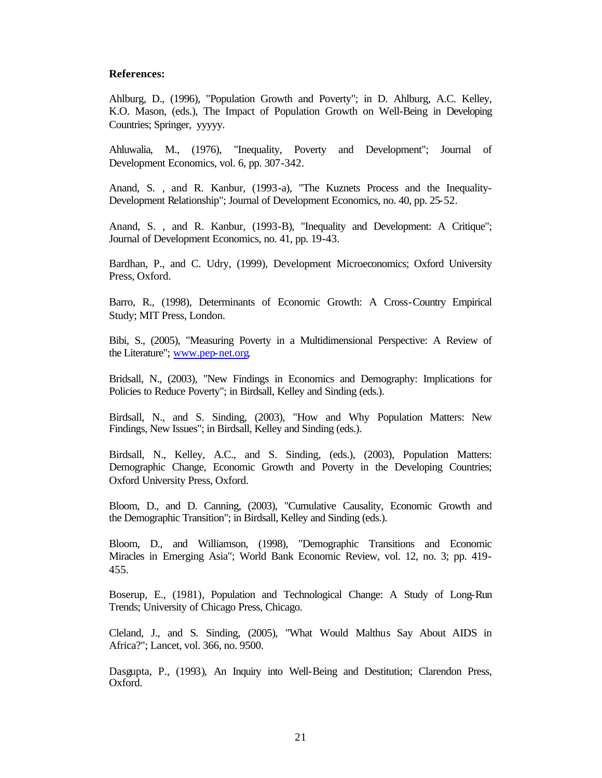#### **References:**

Ahlburg, D., (1996), "Population Growth and Poverty"; in D. Ahlburg, A.C. Kelley, K.O. Mason, (eds.), The Impact of Population Growth on Well-Being in Developing Countries; Springer, yyyyy.

Ahluwalia, M., (1976), "Inequality, Poverty and Development"; Journal of Development Economics, vol. 6, pp. 307-342.

Anand, S. , and R. Kanbur, (1993-a), "The Kuznets Process and the Inequality-Development Relationship"; Journal of Development Economics, no. 40, pp. 25-52.

Anand, S. , and R. Kanbur, (1993-B), "Inequality and Development: A Critique"; Journal of Development Economics, no. 41, pp. 19-43.

Bardhan, P., and C. Udry, (1999), Development Microeconomics; Oxford University Press, Oxford.

Barro, R., (1998), Determinants of Economic Growth: A Cross-Country Empirical Study; MIT Press, London.

Bibi, S., (2005), "Measuring Poverty in a Multidimensional Perspective: A Review of the Literature"; www.pep-net.org.

Bridsall, N., (2003), "New Findings in Economics and Demography: Implications for Policies to Reduce Poverty"; in Birdsall, Kelley and Sinding (eds.).

Birdsall, N., and S. Sinding, (2003), "How and Why Population Matters: New Findings, New Issues"; in Birdsall, Kelley and Sinding (eds.).

Birdsall, N., Kelley, A.C., and S. Sinding, (eds.), (2003), Population Matters: Demographic Change, Economic Growth and Poverty in the Developing Countries; Oxford University Press, Oxford.

Bloom, D., and D. Canning, (2003), "Cumulative Causality, Economic Growth and the Demographic Transition"; in Birdsall, Kelley and Sinding (eds.).

Bloom, D., and Williamson, (1998), "Demographic Transitions and Economic Miracles in Emerging Asia"; World Bank Economic Review, vol. 12, no. 3; pp. 419- 455.

Boserup, E., (1981), Population and Technological Change: A Study of Long-Run Trends; University of Chicago Press, Chicago.

Cleland, J., and S. Sinding, (2005), "What Would Malthus Say About AIDS in Africa?"; Lancet, vol. 366, no. 9500.

Dasgupta, P., (1993), An Inquiry into Well-Being and Destitution; Clarendon Press, Oxford.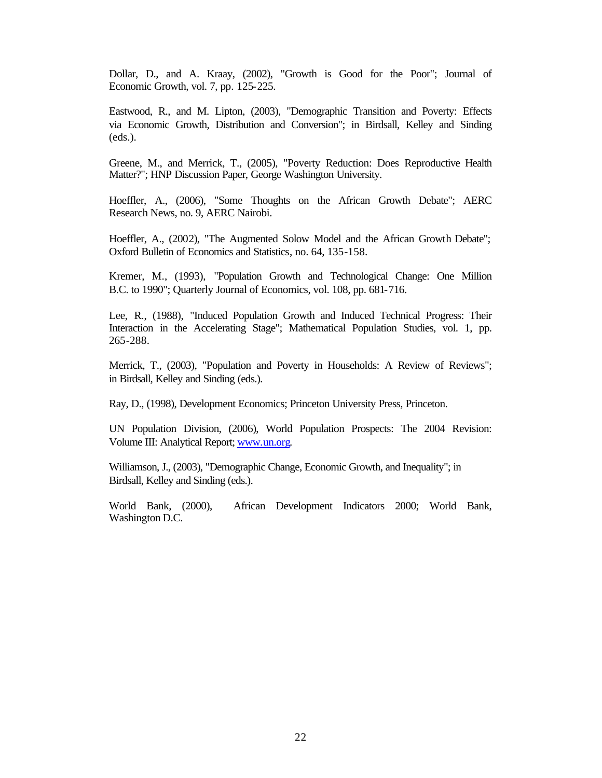Dollar, D., and A. Kraay, (2002), "Growth is Good for the Poor"; Journal of Economic Growth, vol. 7, pp. 125-225.

Eastwood, R., and M. Lipton, (2003), "Demographic Transition and Poverty: Effects via Economic Growth, Distribution and Conversion"; in Birdsall, Kelley and Sinding (eds.).

Greene, M., and Merrick, T., (2005), "Poverty Reduction: Does Reproductive Health Matter?"; HNP Discussion Paper, George Washington University.

Hoeffler, A., (2006), "Some Thoughts on the African Growth Debate"; AERC Research News, no. 9, AERC Nairobi.

Hoeffler, A., (2002), "The Augmented Solow Model and the African Growth Debate"; Oxford Bulletin of Economics and Statistics, no. 64, 135-158.

Kremer, M., (1993), "Population Growth and Technological Change: One Million B.C. to 1990"; Quarterly Journal of Economics, vol. 108, pp. 681-716.

Lee, R., (1988), "Induced Population Growth and Induced Technical Progress: Their Interaction in the Accelerating Stage"; Mathematical Population Studies, vol. 1, pp. 265-288.

Merrick, T., (2003), "Population and Poverty in Households: A Review of Reviews"; in Birdsall, Kelley and Sinding (eds.).

Ray, D., (1998), Development Economics; Princeton University Press, Princeton.

UN Population Division, (2006), World Population Prospects: The 2004 Revision: Volume III: Analytical Report; www.un.org.

Williamson, J., (2003), "Demographic Change, Economic Growth, and Inequality"; in Birdsall, Kelley and Sinding (eds.).

World Bank, (2000), African Development Indicators 2000; World Bank, Washington D.C.